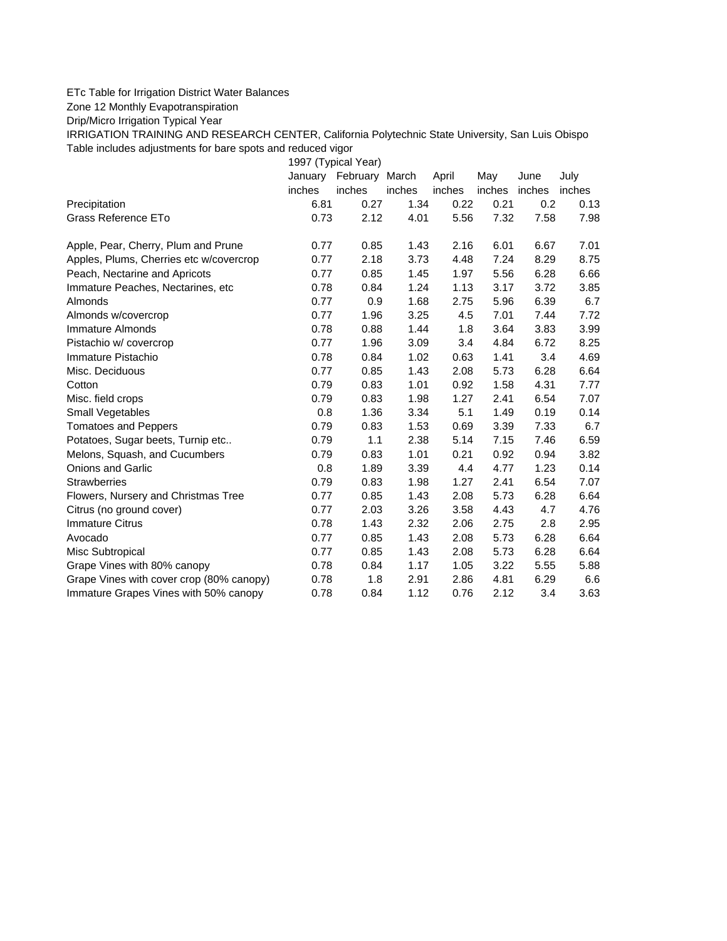## ETc Table for Irrigation District Water Balances

Zone 12 Monthly Evapotranspiration

Drip/Micro Irrigation Typical Year

IRRIGATION TRAINING AND RESEARCH CENTER, California Polytechnic State University, San Luis Obispo Table includes adjustments for bare spots and reduced vigor

1997 (Typical Year) January February March April May June July inches inches inches inches inches inches inches Precipitation 6.81 0.27 1.34 0.22 0.21 0.2 0.13 Grass Reference ETo **0.73** 2.12 4.01 5.56 7.32 7.58 7.98 Apple, Pear, Cherry, Plum and Prune  $0.77$   $0.85$  1.43 2.16 6.01 6.67 7.01 Apples, Plums, Cherries etc w/covercrop 0.77 2.18 3.73 4.48 7.24 8.29 8.75 Peach, Nectarine and Apricots 0.77 0.85 1.45 1.97 5.56 6.28 6.66 Immature Peaches, Nectarines, etc 0.78 0.84 1.24 1.13 3.17 3.72 3.85 Almonds 0.77 0.9 1.68 2.75 5.96 6.39 6.7 Almonds w/covercrop 0.77 1.96 3.25 4.5 7.01 7.44 7.72 Immature Almonds 0.78 0.88 1.44 1.8 3.64 3.83 3.99 Pistachio w/ covercrop 0.77 1.96 3.09 3.4 4.84 6.72 8.25 Immature Pistachio 0.78 0.84 1.02 0.63 1.41 3.4 4.69 Misc. Deciduous 0.77 0.85 1.43 2.08 5.73 6.28 6.64 Cotton 0.79 0.83 1.01 0.92 1.58 4.31 7.77 Misc. field crops 0.79 0.83 1.98 1.27 2.41 6.54 7.07 Small Vegetables 0.8 1.36 3.34 5.1 1.49 0.19 0.14 Tomatoes and Peppers 0.79 0.83 1.53 0.69 3.39 7.33 6.7 Potatoes, Sugar beets, Turnip etc.. 0.79 1.1 2.38 5.14 7.15 7.46 6.59 Melons, Squash, and Cucumbers 0.79 0.83 1.01 0.21 0.92 0.94 3.82 Onions and Garlic 0.8 1.89 3.39 4.4 4.77 1.23 0.14 Strawberries 0.79 0.83 1.98 1.27 2.41 6.54 7.07 Flowers, Nursery and Christmas Tree 0.77 0.85 1.43 2.08 5.73 6.28 6.64 Citrus (no ground cover) 0.77 2.03 3.26 3.58 4.43 4.7 4.76 Immature Citrus 0.78 1.43 2.32 2.06 2.75 2.8 2.95 Avocado 0.77 0.85 1.43 2.08 5.73 6.28 6.64 Misc Subtropical 0.77 0.85 1.43 2.08 5.73 6.28 6.64 Grape Vines with 80% canopy  $0.78$  0.84 1.17 1.05 3.22 5.55 5.88 Grape Vines with cover crop (80% canopy)  $0.78$  1.8 2.91 2.86 4.81 6.29 6.6 Immature Grapes Vines with 50% canopy 0.78 0.84 1.12 0.76 2.12 3.4 3.63